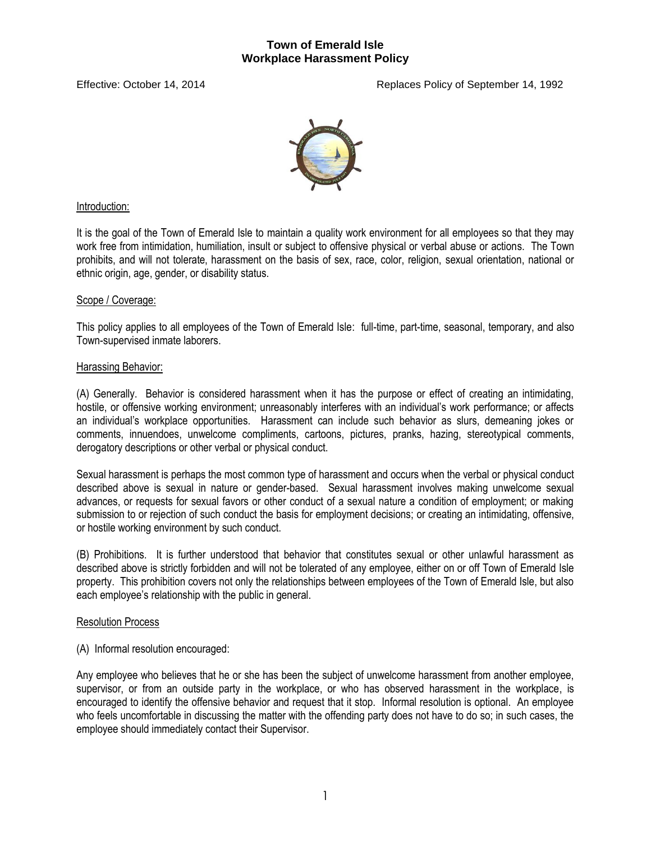

## Introduction:

It is the goal of the Town of Emerald Isle to maintain a quality work environment for all employees so that they may work free from intimidation, humiliation, insult or subject to offensive physical or verbal abuse or actions. The Town prohibits, and will not tolerate, harassment on the basis of sex, race, color, religion, sexual orientation, national or ethnic origin, age, gender, or disability status.

## Scope / Coverage:

This policy applies to all employees of the Town of Emerald Isle: full-time, part-time, seasonal, temporary, and also Town-supervised inmate laborers.

## Harassing Behavior:

(A) Generally. Behavior is considered harassment when it has the purpose or effect of creating an intimidating, hostile, or offensive working environment; unreasonably interferes with an individual's work performance; or affects an individual's workplace opportunities. Harassment can include such behavior as slurs, demeaning jokes or comments, innuendoes, unwelcome compliments, cartoons, pictures, pranks, hazing, stereotypical comments, derogatory descriptions or other verbal or physical conduct.

Sexual harassment is perhaps the most common type of harassment and occurs when the verbal or physical conduct described above is sexual in nature or gender-based. Sexual harassment involves making unwelcome sexual advances, or requests for sexual favors or other conduct of a sexual nature a condition of employment; or making submission to or rejection of such conduct the basis for employment decisions; or creating an intimidating, offensive, or hostile working environment by such conduct.

(B) Prohibitions. It is further understood that behavior that constitutes sexual or other unlawful harassment as described above is strictly forbidden and will not be tolerated of any employee, either on or off Town of Emerald Isle property. This prohibition covers not only the relationships between employees of the Town of Emerald Isle, but also each employee's relationship with the public in general.

### Resolution Process

(A) Informal resolution encouraged:

Any employee who believes that he or she has been the subject of unwelcome harassment from another employee, supervisor, or from an outside party in the workplace, or who has observed harassment in the workplace, is encouraged to identify the offensive behavior and request that it stop. Informal resolution is optional. An employee who feels uncomfortable in discussing the matter with the offending party does not have to do so; in such cases, the employee should immediately contact their Supervisor.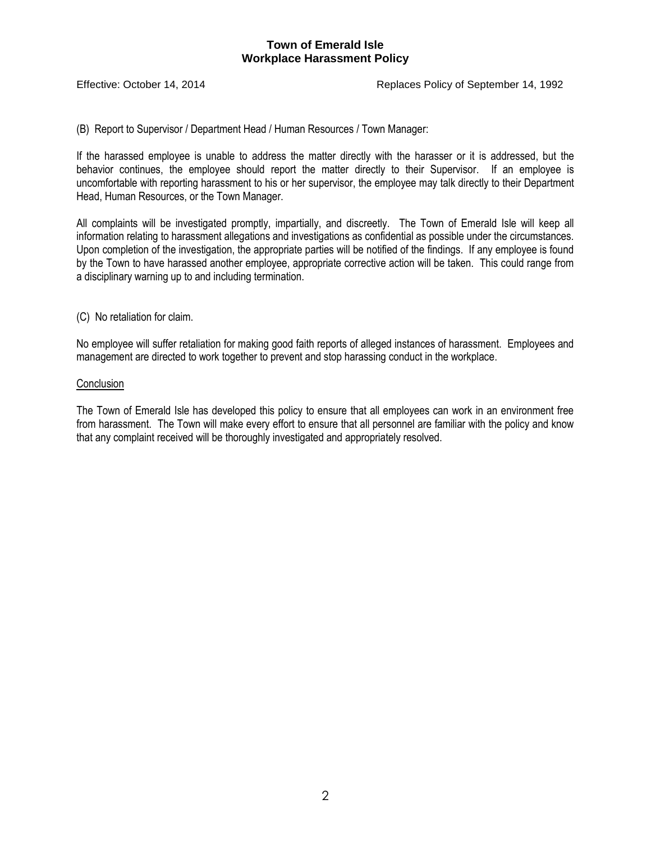Effective: October 14, 2014 Replaces Policy of September 14, 1992

(B) Report to Supervisor / Department Head / Human Resources / Town Manager:

If the harassed employee is unable to address the matter directly with the harasser or it is addressed, but the behavior continues, the employee should report the matter directly to their Supervisor. If an employee is uncomfortable with reporting harassment to his or her supervisor, the employee may talk directly to their Department Head, Human Resources, or the Town Manager.

All complaints will be investigated promptly, impartially, and discreetly. The Town of Emerald Isle will keep all information relating to harassment allegations and investigations as confidential as possible under the circumstances. Upon completion of the investigation, the appropriate parties will be notified of the findings. If any employee is found by the Town to have harassed another employee, appropriate corrective action will be taken. This could range from a disciplinary warning up to and including termination.

(C) No retaliation for claim.

No employee will suffer retaliation for making good faith reports of alleged instances of harassment. Employees and management are directed to work together to prevent and stop harassing conduct in the workplace.

#### **Conclusion**

The Town of Emerald Isle has developed this policy to ensure that all employees can work in an environment free from harassment. The Town will make every effort to ensure that all personnel are familiar with the policy and know that any complaint received will be thoroughly investigated and appropriately resolved.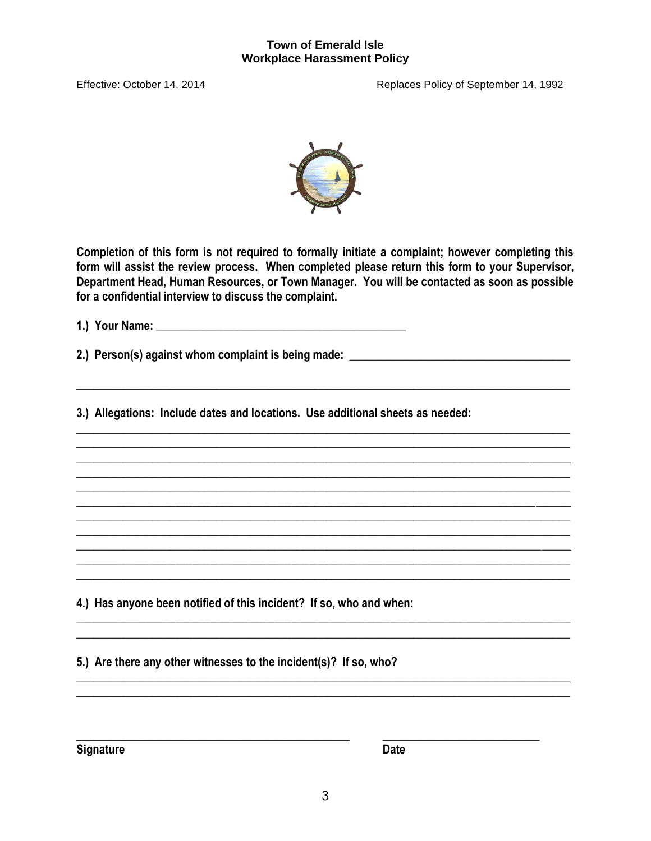Effective: October 14, 2014



Completion of this form is not required to formally initiate a complaint; however completing this form will assist the review process. When completed please return this form to your Supervisor, Department Head, Human Resources, or Town Manager. You will be contacted as soon as possible for a confidential interview to discuss the complaint.

2.) Person(s) against whom complaint is being made:

3.) Allegations: Include dates and locations. Use additional sheets as needed:

4.) Has anyone been notified of this incident? If so, who and when:

5.) Are there any other witnesses to the incident(s)? If so, who?

**Signature** 

Date